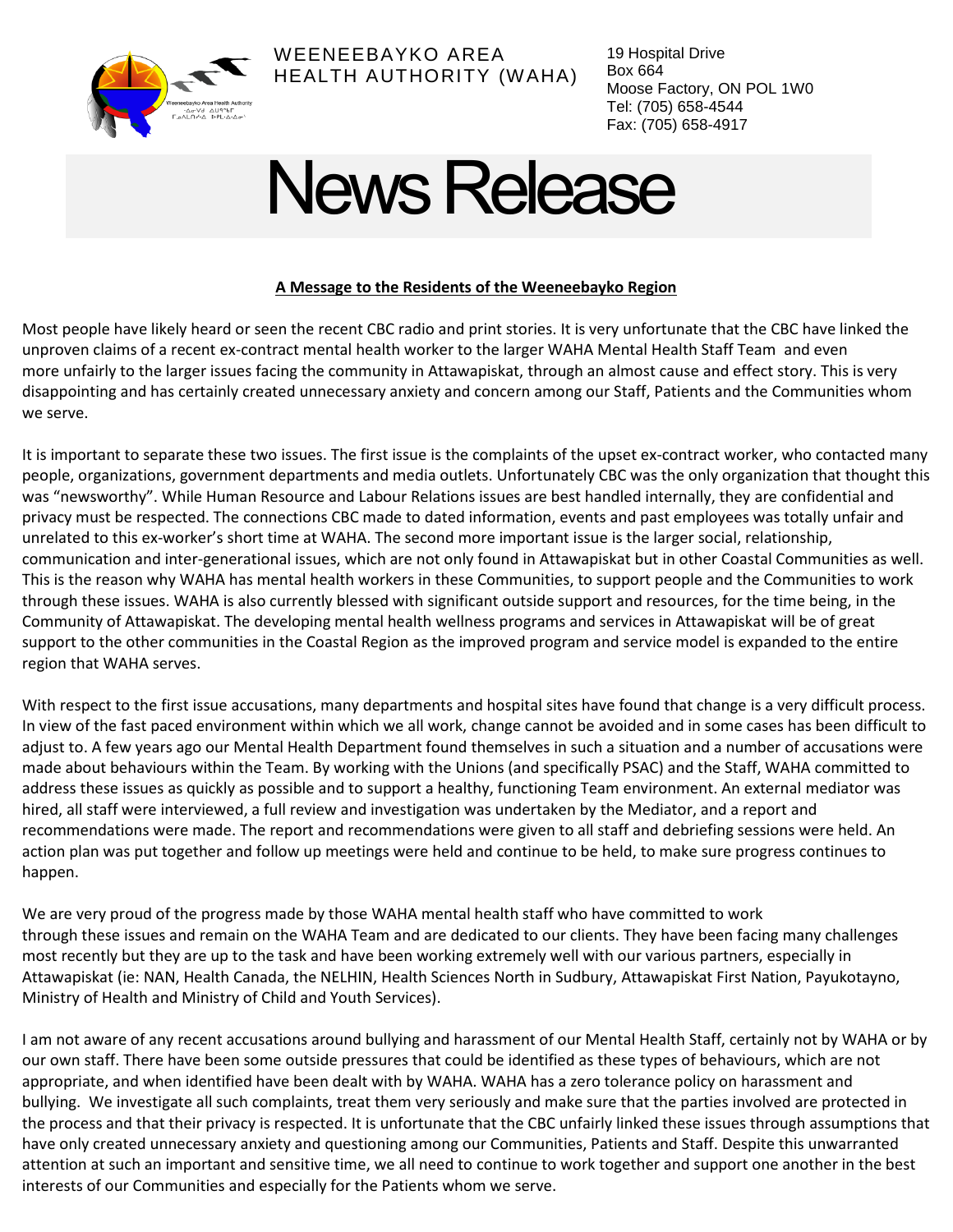

WEENEEBAYKO AREA HEALTH AUTHORITY (WAHA) 19 Hospital Drive Box 664 Moose Factory, ON POL 1W0 Tel: (705) 658-4544 Fax: (705) 658-4917

## News Release

## **A Message to the Residents of the Weeneebayko Region**

Most people have likely heard or seen the recent CBC radio and print stories. It is very unfortunate that the CBC have linked the unproven claims of a recent ex-contract mental health worker to the larger WAHA Mental Health Staff Team and even more unfairly to the larger issues facing the community in Attawapiskat, through an almost cause and effect story. This is very disappointing and has certainly created unnecessary anxiety and concern among our Staff, Patients and the Communities whom we serve.

It is important to separate these two issues. The first issue is the complaints of the upset ex-contract worker, who contacted many people, organizations, government departments and media outlets. Unfortunately CBC was the only organization that thought this was "newsworthy". While Human Resource and Labour Relations issues are best handled internally, they are confidential and privacy must be respected. The connections CBC made to dated information, events and past employees was totally unfair and unrelated to this ex-worker's short time at WAHA. The second more important issue is the larger social, relationship, communication and inter-generational issues, which are not only found in Attawapiskat but in other Coastal Communities as well. This is the reason why WAHA has mental health workers in these Communities, to support people and the Communities to work through these issues. WAHA is also currently blessed with significant outside support and resources, for the time being, in the Community of Attawapiskat. The developing mental health wellness programs and services in Attawapiskat will be of great support to the other communities in the Coastal Region as the improved program and service model is expanded to the entire region that WAHA serves.

With respect to the first issue accusations, many departments and hospital sites have found that change is a very difficult process. In view of the fast paced environment within which we all work, change cannot be avoided and in some cases has been difficult to adjust to. A few years ago our Mental Health Department found themselves in such a situation and a number of accusations were made about behaviours within the Team. By working with the Unions (and specifically PSAC) and the Staff, WAHA committed to address these issues as quickly as possible and to support a healthy, functioning Team environment. An external mediator was hired, all staff were interviewed, a full review and investigation was undertaken by the Mediator, and a report and recommendations were made. The report and recommendations were given to all staff and debriefing sessions were held. An action plan was put together and follow up meetings were held and continue to be held, to make sure progress continues to happen.

We are very proud of the progress made by those WAHA mental health staff who have committed to work through these issues and remain on the WAHA Team and are dedicated to our clients. They have been facing many challenges most recently but they are up to the task and have been working extremely well with our various partners, especially in Attawapiskat (ie: NAN, Health Canada, the NELHIN, Health Sciences North in Sudbury, Attawapiskat First Nation, Payukotayno, Ministry of Health and Ministry of Child and Youth Services).

I am not aware of any recent accusations around bullying and harassment of our Mental Health Staff, certainly not by WAHA or by our own staff. There have been some outside pressures that could be identified as these types of behaviours, which are not appropriate, and when identified have been dealt with by WAHA. WAHA has a zero tolerance policy on harassment and bullying. We investigate all such complaints, treat them very seriously and make sure that the parties involved are protected in the process and that their privacy is respected. It is unfortunate that the CBC unfairly linked these issues through assumptions that have only created unnecessary anxiety and questioning among our Communities, Patients and Staff. Despite this unwarranted attention at such an important and sensitive time, we all need to continue to work together and support one another in the best interests of our Communities and especially for the Patients whom we serve.